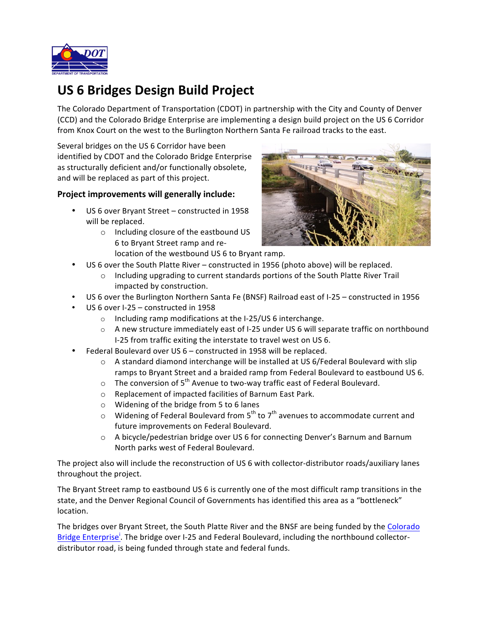

## **US 6 Bridges Design Build Project**

The Colorado Department of Transportation (CDOT) in partnership with the City and County of Denver (CCD) and the Colorado Bridge Enterprise are implementing a design build project on the US 6 Corridor from Knox Court on the west to the Burlington Northern Santa Fe railroad tracks to the east.

Several bridges on the US 6 Corridor have been identified by CDOT and the Colorado Bridge Enterprise as structurally deficient and/or functionally obsolete, and will be replaced as part of this project.

## **Project improvements will generally include:**

- US 6 over Bryant Street constructed in 1958 will be replaced.
	- o Including closure of the eastbound US 6 to Bryant Street ramp and re
		- location of the westbound US 6 to Bryant ramp.



- US 6 over the South Platte River constructed in 1956 (photo above) will be replaced.
	- $\circ$  Including upgrading to current standards portions of the South Platte River Trail impacted by construction.
- US 6 over the Burlington Northern Santa Fe (BNSF) Railroad east of I-25 constructed in 1956
- US 6 over I-25 constructed in 1958
	- $\circ$  Including ramp modifications at the I-25/US 6 interchange.
	- $\circ$  A new structure immediately east of I-25 under US 6 will separate traffic on northbound I-25 from traffic exiting the interstate to travel west on US 6.
- Federal Boulevard over US  $6$  constructed in 1958 will be replaced.
	- $\circ$  A standard diamond interchange will be installed at US 6/Federal Boulevard with slip ramps to Bryant Street and a braided ramp from Federal Boulevard to eastbound US 6.
	- $\circ$  The conversion of 5<sup>th</sup> Avenue to two-way traffic east of Federal Boulevard.
	- o Replacement of impacted facilities of Barnum East Park.
	- $\circ$  Widening of the bridge from 5 to 6 lanes
	- $\circ$  Widening of Federal Boulevard from 5<sup>th</sup> to 7<sup>th</sup> avenues to accommodate current and future improvements on Federal Boulevard.
	- o A bicycle/pedestrian bridge over US 6 for connecting Denver's Barnum and Barnum North parks west of Federal Boulevard.

The project also will include the reconstruction of US 6 with collector-distributor roads/auxiliary lanes throughout the project.

The Bryant Street ramp to eastbound US 6 is currently one of the most difficult ramp transitions in the state, and the Denver Regional Council of Governments has identified this area as a "bottleneck" location.

The bridges over Bryant Street, the South Platte River and the BNSF are being funded by the Colorado Bridge Enterprise<sup>1</sup>. The bridge over I-25 and Federal Boulevard, including the northbound collectordistributor road, is being funded through state and federal funds.